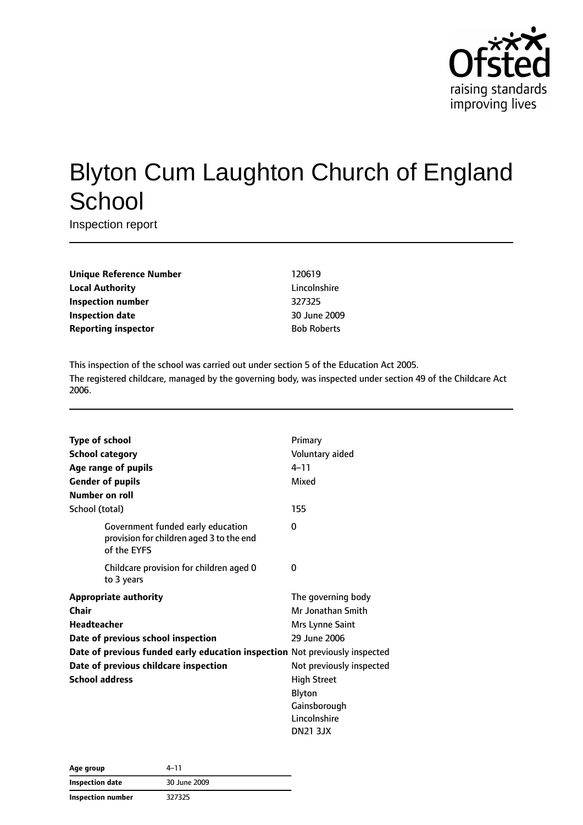

# Blyton Cum Laughton Church of England **School**

Inspection report

| <b>Unique Reference Number</b> |
|--------------------------------|
| <b>Local Authority</b>         |
| <b>Inspection number</b>       |
| Inspection date                |
| <b>Reporting inspector</b>     |

**Unique Reference Number** 120619 **Lincolnshire Inspection number** 327325 **Inspection date** 30 June 2009 **Bob Roberts** 

This inspection of the school was carried out under section 5 of the Education Act 2005. The registered childcare, managed by the governing body, was inspected under section 49 of the Childcare Act 2006.

|                    | <b>Type of school</b>                                                                        | Primary                  |
|--------------------|----------------------------------------------------------------------------------------------|--------------------------|
|                    | <b>School category</b>                                                                       | Voluntary aided          |
|                    | Age range of pupils                                                                          | $4 - 11$                 |
|                    | <b>Gender of pupils</b>                                                                      | Mixed                    |
|                    | Number on roll                                                                               |                          |
| School (total)     |                                                                                              | 155                      |
|                    | Government funded early education<br>provision for children aged 3 to the end<br>of the EYFS | 0                        |
|                    | Childcare provision for children aged 0<br>to 3 years                                        | 0                        |
|                    | <b>Appropriate authority</b>                                                                 | The governing body       |
| Chair              |                                                                                              | Mr Jonathan Smith        |
| <b>Headteacher</b> |                                                                                              | Mrs Lynne Saint          |
|                    | Date of previous school inspection                                                           | 29 June 2006             |
|                    | Date of previous funded early education inspection Not previously inspected                  |                          |
|                    | Date of previous childcare inspection                                                        | Not previously inspected |
|                    | <b>School address</b>                                                                        | <b>High Street</b>       |
|                    |                                                                                              | Blyton                   |
|                    |                                                                                              | Gainsborough             |
|                    |                                                                                              | Lincolnshire             |
|                    |                                                                                              | <b>DN21 3JX</b>          |

| Age group         | 4–11         |  |
|-------------------|--------------|--|
| Inspection date   | 30 June 2009 |  |
| Inspection number | 327325       |  |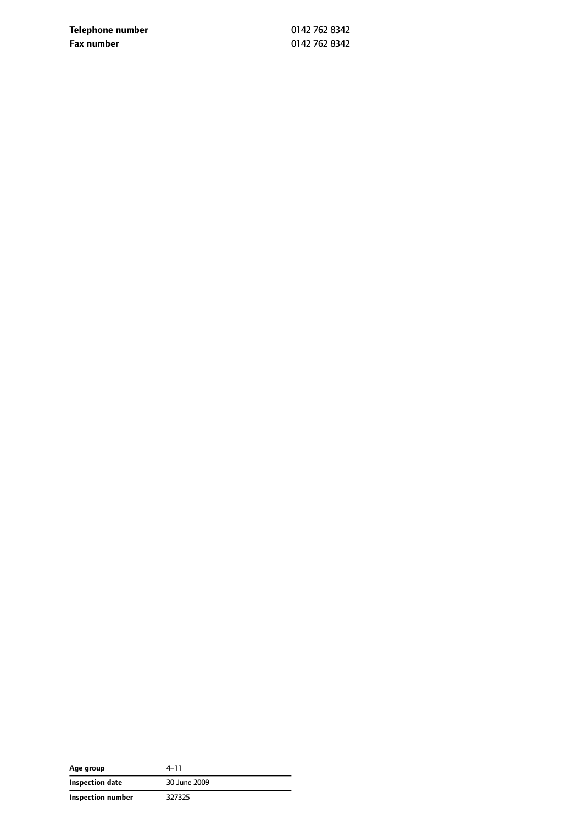**Telephone number** 0142 762 8342 **Fax number** 0142 762 8342

| Age group                | $4 - 11$     |
|--------------------------|--------------|
| Inspection date          | 30 June 2009 |
| <b>Inspection number</b> | 327325       |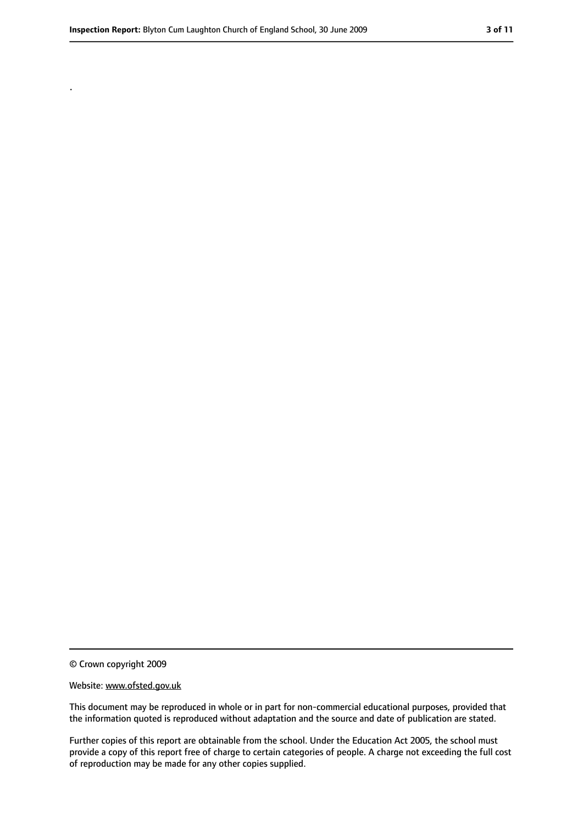.

<sup>©</sup> Crown copyright 2009

Website: www.ofsted.gov.uk

This document may be reproduced in whole or in part for non-commercial educational purposes, provided that the information quoted is reproduced without adaptation and the source and date of publication are stated.

Further copies of this report are obtainable from the school. Under the Education Act 2005, the school must provide a copy of this report free of charge to certain categories of people. A charge not exceeding the full cost of reproduction may be made for any other copies supplied.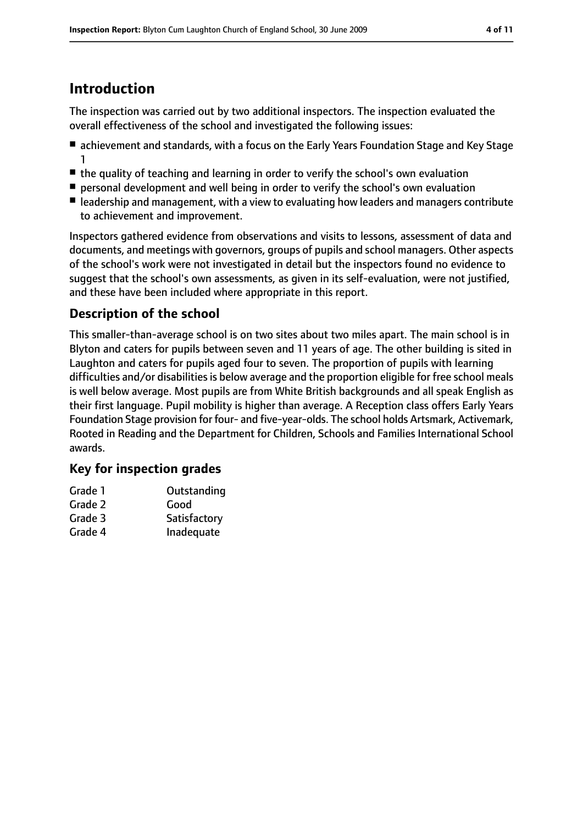# **Introduction**

The inspection was carried out by two additional inspectors. The inspection evaluated the overall effectiveness of the school and investigated the following issues:

- achievement and standards, with a focus on the Early Years Foundation Stage and Key Stage 1
- the quality of teaching and learning in order to verify the school's own evaluation
- personal development and well being in order to verify the school's own evaluation
- leadership and management, with a view to evaluating how leaders and managers contribute to achievement and improvement.

Inspectors gathered evidence from observations and visits to lessons, assessment of data and documents, and meetings with governors, groups of pupils and school managers. Other aspects of the school's work were not investigated in detail but the inspectors found no evidence to suggest that the school's own assessments, as given in its self-evaluation, were not justified, and these have been included where appropriate in this report.

### **Description of the school**

This smaller-than-average school is on two sites about two miles apart. The main school is in Blyton and caters for pupils between seven and 11 years of age. The other building is sited in Laughton and caters for pupils aged four to seven. The proportion of pupils with learning difficulties and/or disabilities is below average and the proportion eligible for free school meals is well below average. Most pupils are from White British backgrounds and all speak English as their first language. Pupil mobility is higher than average. A Reception class offers Early Years Foundation Stage provision for four- and five-year-olds. The school holds Artsmark, Activemark, Rooted in Reading and the Department for Children, Schools and Families International School awards.

### **Key for inspection grades**

| Grade 1 | Outstanding  |
|---------|--------------|
| Grade 2 | Good         |
| Grade 3 | Satisfactory |
| Grade 4 | Inadequate   |
|         |              |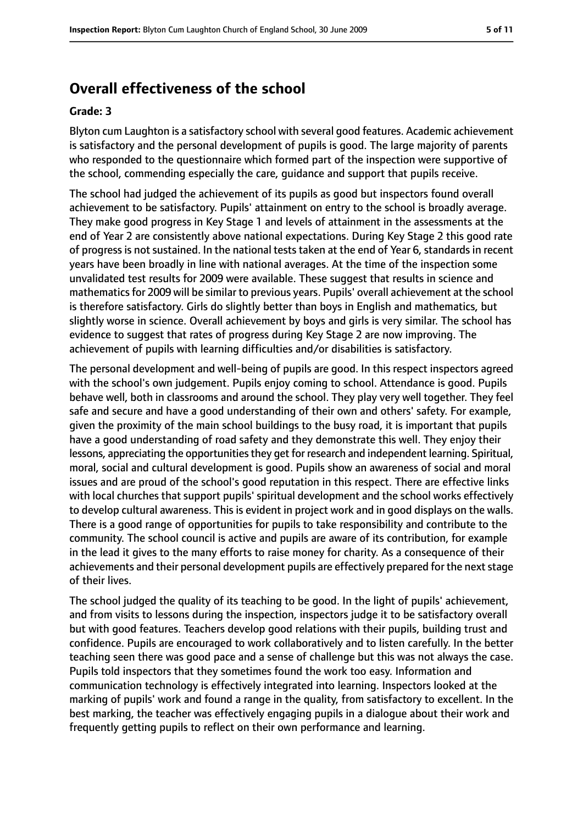## **Overall effectiveness of the school**

#### **Grade: 3**

Blyton cum Laughton is a satisfactory school with several good features. Academic achievement is satisfactory and the personal development of pupils is good. The large majority of parents who responded to the questionnaire which formed part of the inspection were supportive of the school, commending especially the care, guidance and support that pupils receive.

The school had judged the achievement of its pupils as good but inspectors found overall achievement to be satisfactory. Pupils' attainment on entry to the school is broadly average. They make good progress in Key Stage 1 and levels of attainment in the assessments at the end of Year 2 are consistently above national expectations. During Key Stage 2 this good rate of progress is not sustained. In the national tests taken at the end of Year 6, standards in recent years have been broadly in line with national averages. At the time of the inspection some unvalidated test results for 2009 were available. These suggest that results in science and mathematicsfor 2009 will be similar to previous years. Pupils' overall achievement at the school is therefore satisfactory. Girls do slightly better than boys in English and mathematics, but slightly worse in science. Overall achievement by boys and girls is very similar. The school has evidence to suggest that rates of progress during Key Stage 2 are now improving. The achievement of pupils with learning difficulties and/or disabilities is satisfactory.

The personal development and well-being of pupils are good. In this respect inspectors agreed with the school's own judgement. Pupils enjoy coming to school. Attendance is good. Pupils behave well, both in classrooms and around the school. They play very well together. They feel safe and secure and have a good understanding of their own and others' safety. For example, given the proximity of the main school buildings to the busy road, it is important that pupils have a good understanding of road safety and they demonstrate this well. They enjoy their lessons, appreciating the opportunities they get for research and independent learning. Spiritual, moral, social and cultural development is good. Pupils show an awareness of social and moral issues and are proud of the school's good reputation in this respect. There are effective links with local churches that support pupils' spiritual development and the school works effectively to develop cultural awareness. This is evident in project work and in good displays on the walls. There is a good range of opportunities for pupils to take responsibility and contribute to the community. The school council is active and pupils are aware of its contribution, for example in the lead it gives to the many efforts to raise money for charity. As a consequence of their achievements and their personal development pupils are effectively prepared for the next stage of their lives.

The school judged the quality of its teaching to be good. In the light of pupils' achievement, and from visits to lessons during the inspection, inspectors judge it to be satisfactory overall but with good features. Teachers develop good relations with their pupils, building trust and confidence. Pupils are encouraged to work collaboratively and to listen carefully. In the better teaching seen there was good pace and a sense of challenge but this was not always the case. Pupils told inspectors that they sometimes found the work too easy. Information and communication technology is effectively integrated into learning. Inspectors looked at the marking of pupils' work and found a range in the quality, from satisfactory to excellent. In the best marking, the teacher was effectively engaging pupils in a dialogue about their work and frequently getting pupils to reflect on their own performance and learning.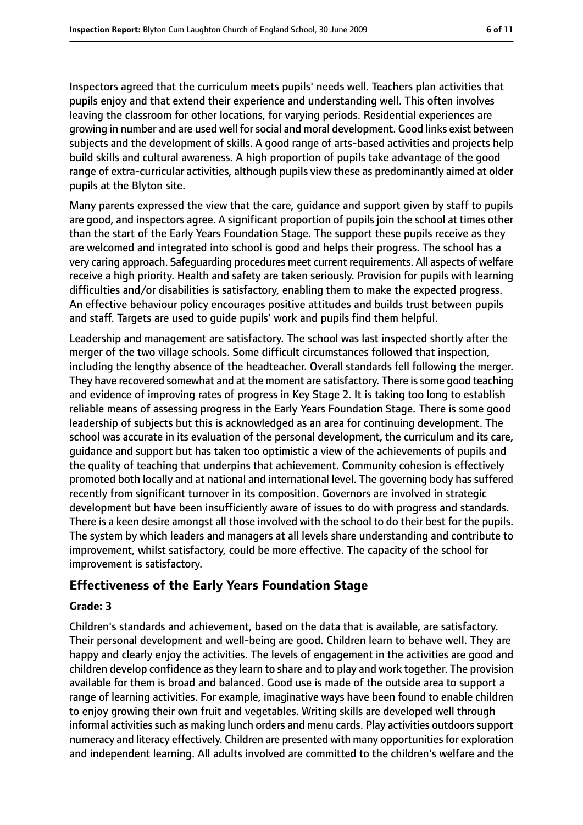Inspectors agreed that the curriculum meets pupils' needs well. Teachers plan activities that pupils enjoy and that extend their experience and understanding well. This often involves leaving the classroom for other locations, for varying periods. Residential experiences are growing in number and are used well forsocial and moral development. Good links exist between subjects and the development of skills. A good range of arts-based activities and projects help build skills and cultural awareness. A high proportion of pupils take advantage of the good range of extra-curricular activities, although pupils view these as predominantly aimed at older pupils at the Blyton site.

Many parents expressed the view that the care, guidance and support given by staff to pupils are good, and inspectors agree. A significant proportion of pupils join the school at times other than the start of the Early Years Foundation Stage. The support these pupils receive as they are welcomed and integrated into school is good and helps their progress. The school has a very caring approach. Safeguarding procedures meet current requirements. All aspects of welfare receive a high priority. Health and safety are taken seriously. Provision for pupils with learning difficulties and/or disabilities is satisfactory, enabling them to make the expected progress. An effective behaviour policy encourages positive attitudes and builds trust between pupils and staff. Targets are used to guide pupils' work and pupils find them helpful.

Leadership and management are satisfactory. The school was last inspected shortly after the merger of the two village schools. Some difficult circumstances followed that inspection, including the lengthy absence of the headteacher. Overall standards fell following the merger. They have recovered somewhat and at the moment are satisfactory. There is some good teaching and evidence of improving rates of progress in Key Stage 2. It is taking too long to establish reliable means of assessing progress in the Early Years Foundation Stage. There is some good leadership of subjects but this is acknowledged as an area for continuing development. The school was accurate in its evaluation of the personal development, the curriculum and its care, guidance and support but has taken too optimistic a view of the achievements of pupils and the quality of teaching that underpins that achievement. Community cohesion is effectively promoted both locally and at national and international level. The governing body has suffered recently from significant turnover in its composition. Governors are involved in strategic development but have been insufficiently aware of issues to do with progress and standards. There is a keen desire amongst all those involved with the school to do their best for the pupils. The system by which leaders and managers at all levels share understanding and contribute to improvement, whilst satisfactory, could be more effective. The capacity of the school for improvement is satisfactory.

### **Effectiveness of the Early Years Foundation Stage**

#### **Grade: 3**

Children's standards and achievement, based on the data that is available, are satisfactory. Their personal development and well-being are good. Children learn to behave well. They are happy and clearly enjoy the activities. The levels of engagement in the activities are good and children develop confidence as they learn to share and to play and work together. The provision available for them is broad and balanced. Good use is made of the outside area to support a range of learning activities. For example, imaginative ways have been found to enable children to enjoy growing their own fruit and vegetables. Writing skills are developed well through informal activities such as making lunch orders and menu cards. Play activities outdoors support numeracy and literacy effectively. Children are presented with many opportunitiesfor exploration and independent learning. All adults involved are committed to the children's welfare and the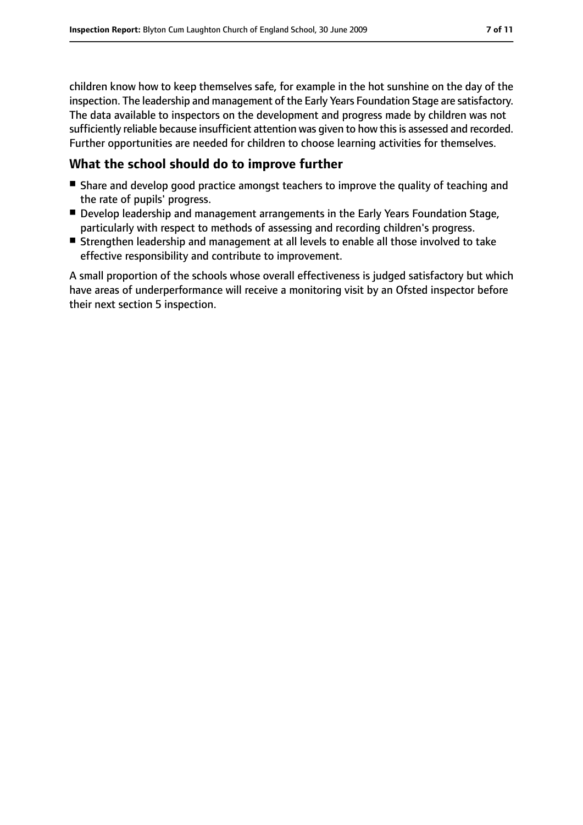children know how to keep themselves safe, for example in the hot sunshine on the day of the inspection. The leadership and management of the Early Years Foundation Stage are satisfactory. The data available to inspectors on the development and progress made by children was not sufficiently reliable because insufficient attention was given to how this is assessed and recorded. Further opportunities are needed for children to choose learning activities for themselves.

#### **What the school should do to improve further**

- Share and develop good practice amongst teachers to improve the quality of teaching and the rate of pupils' progress.
- Develop leadership and management arrangements in the Early Years Foundation Stage, particularly with respect to methods of assessing and recording children's progress.
- Strengthen leadership and management at all levels to enable all those involved to take effective responsibility and contribute to improvement.

A small proportion of the schools whose overall effectiveness is judged satisfactory but which have areas of underperformance will receive a monitoring visit by an Ofsted inspector before their next section 5 inspection.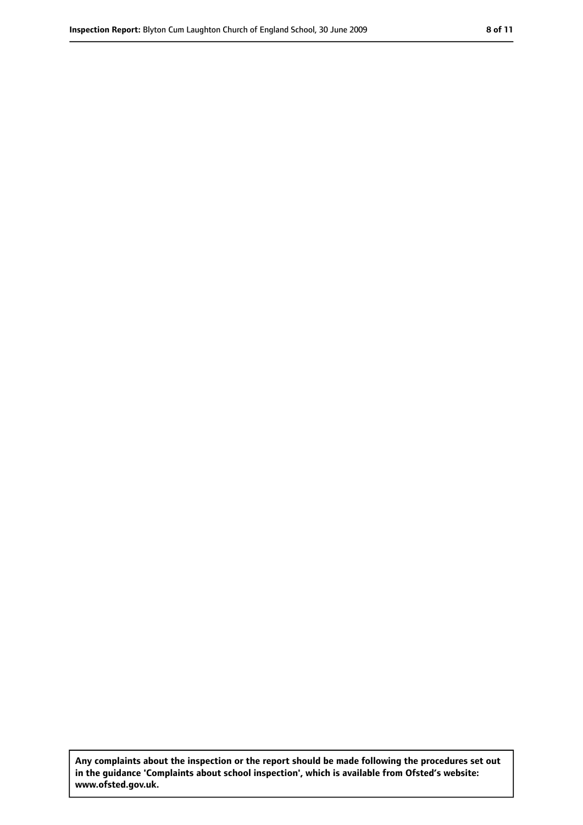**Any complaints about the inspection or the report should be made following the procedures set out in the guidance 'Complaints about school inspection', which is available from Ofsted's website: www.ofsted.gov.uk.**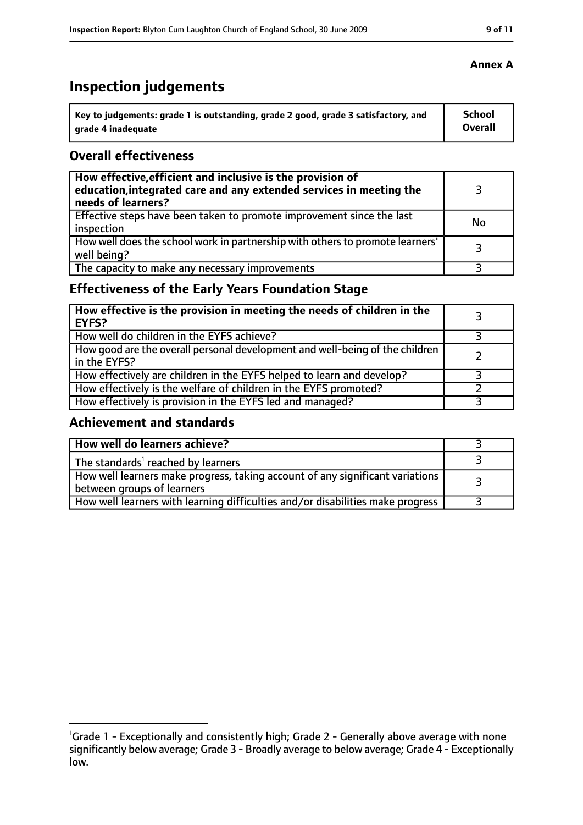# **Inspection judgements**

| Key to judgements: grade 1 is outstanding, grade 2 good, grade 3 satisfactory, and | <b>School</b> |
|------------------------------------------------------------------------------------|---------------|
| arade 4 inadequate                                                                 | Overall       |

#### **Overall effectiveness**

| How effective, efficient and inclusive is the provision of<br>education, integrated care and any extended services in meeting the<br>needs of learners? |    |
|---------------------------------------------------------------------------------------------------------------------------------------------------------|----|
| Effective steps have been taken to promote improvement since the last<br>inspection                                                                     | No |
| How well does the school work in partnership with others to promote learners'<br>well being?                                                            | 3  |
| The capacity to make any necessary improvements                                                                                                         |    |

## **Effectiveness of the Early Years Foundation Stage**

| How effective is the provision in meeting the needs of children in the<br><b>EYFS?</b>       |  |
|----------------------------------------------------------------------------------------------|--|
| How well do children in the EYFS achieve?                                                    |  |
| How good are the overall personal development and well-being of the children<br>in the EYFS? |  |
| How effectively are children in the EYFS helped to learn and develop?                        |  |
| How effectively is the welfare of children in the EYFS promoted?                             |  |
| How effectively is provision in the EYFS led and managed?                                    |  |

### **Achievement and standards**

| How well do learners achieve?                                                                               |  |
|-------------------------------------------------------------------------------------------------------------|--|
| The standards <sup>1</sup> reached by learners                                                              |  |
| How well learners make progress, taking account of any significant variations<br>between groups of learners |  |
| How well learners with learning difficulties and/or disabilities make progress                              |  |

#### **Annex A**

<sup>&</sup>lt;sup>1</sup>Grade 1 - Exceptionally and consistently high; Grade 2 - Generally above average with none significantly below average; Grade 3 - Broadly average to below average; Grade 4 - Exceptionally low.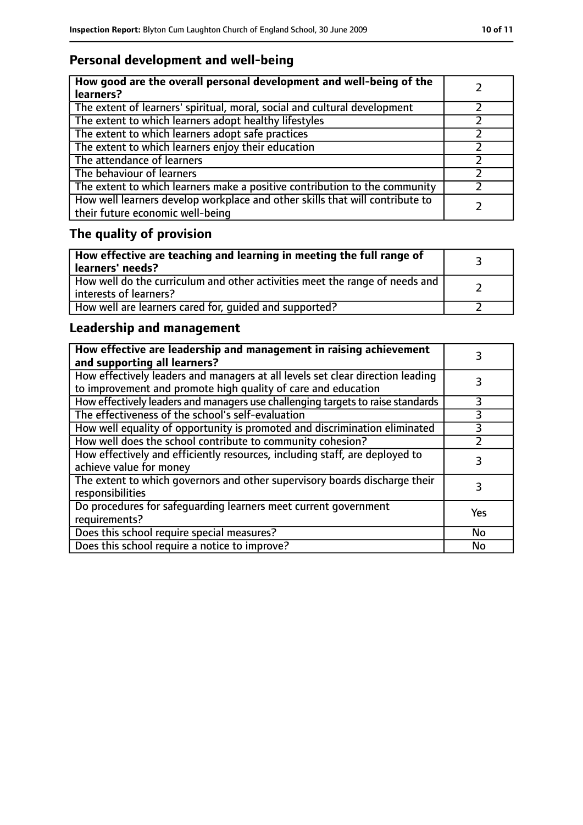## **Personal development and well-being**

| How good are the overall personal development and well-being of the<br>learners?                                 |  |
|------------------------------------------------------------------------------------------------------------------|--|
| The extent of learners' spiritual, moral, social and cultural development                                        |  |
| The extent to which learners adopt healthy lifestyles                                                            |  |
| The extent to which learners adopt safe practices                                                                |  |
| The extent to which learners enjoy their education                                                               |  |
| The attendance of learners                                                                                       |  |
| The behaviour of learners                                                                                        |  |
| The extent to which learners make a positive contribution to the community                                       |  |
| How well learners develop workplace and other skills that will contribute to<br>their future economic well-being |  |

# **The quality of provision**

| How effective are teaching and learning in meeting the full range of<br>learners' needs?              |  |
|-------------------------------------------------------------------------------------------------------|--|
| How well do the curriculum and other activities meet the range of needs and<br>interests of learners? |  |
| How well are learners cared for, quided and supported?                                                |  |

## **Leadership and management**

| How effective are leadership and management in raising achievement<br>and supporting all learners?                                              |           |
|-------------------------------------------------------------------------------------------------------------------------------------------------|-----------|
| How effectively leaders and managers at all levels set clear direction leading<br>to improvement and promote high quality of care and education |           |
| How effectively leaders and managers use challenging targets to raise standards                                                                 | 3         |
| The effectiveness of the school's self-evaluation                                                                                               | 3         |
| How well equality of opportunity is promoted and discrimination eliminated                                                                      |           |
| How well does the school contribute to community cohesion?                                                                                      |           |
| How effectively and efficiently resources, including staff, are deployed to<br>achieve value for money                                          | 3         |
| The extent to which governors and other supervisory boards discharge their<br>responsibilities                                                  | 3         |
| Do procedures for safequarding learners meet current government<br>requirements?                                                                | Yes       |
| Does this school require special measures?                                                                                                      | No        |
| Does this school require a notice to improve?                                                                                                   | <b>No</b> |